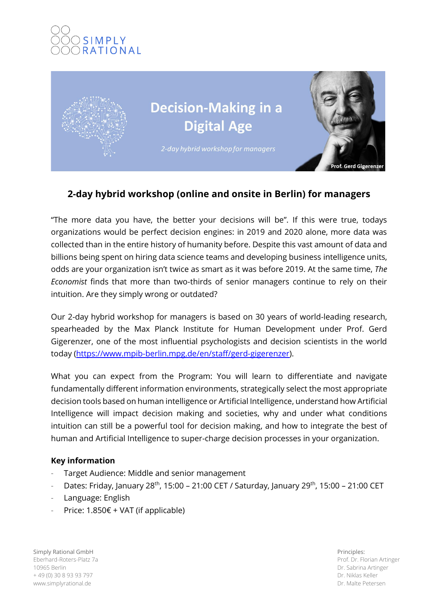# **SIMPLY RATIONAL**



## **2-day hybrid workshop (online and onsite in Berlin) for managers**

"The more data you have, the better your decisions will be". If this were true, todays organizations would be perfect decision engines: in 2019 and 2020 alone, more data was collected than in the entire history of humanity before. Despite this vast amount of data and billions being spent on hiring data science teams and developing business intelligence units, odds are your organization isn't twice as smart as it was before 2019. At the same time, *The Economist* finds that more than two-thirds of senior managers continue to rely on their intuition. Are they simply wrong or outdated?

Our 2-day hybrid workshop for managers is based on 30 years of world-leading research, spearheaded by the Max Planck Institute for Human Development under Prof. Gerd Gigerenzer, one of the most influential psychologists and decision scientists in the world today [\(https://www.mpib-berlin.mpg.de/en/staff/gerd-gigerenzer\)](https://www.mpib-berlin.mpg.de/en/staff/gerd-gigerenzer).

What you can expect from the Program: You will learn to differentiate and navigate fundamentally different information environments, strategically select the most appropriate decision tools based on human intelligence or Artificial Intelligence, understand how Artificial Intelligence will impact decision making and societies, why and under what conditions intuition can still be a powerful tool for decision making, and how to integrate the best of human and Artificial Intelligence to super-charge decision processes in your organization.

## **Key information**

- Target Audience: Middle and senior management
- Dates: Friday, January 28<sup>th</sup>, 15:00 21:00 CET / Saturday, January 29<sup>th</sup>, 15:00 21:00 CET
- Language: English
- Price:  $1.850 \epsilon + \text{VAT}$  (if applicable)

Simply Rational GmbH Eberhard-Roters-Platz 7a 10965 Berlin + 49 (0) 30 8 93 93 797 www.simplyrational.de

Principles: Prof. Dr. Florian Artinger Dr. Sabrina Artinger Dr. Niklas Keller Dr. Malte Petersen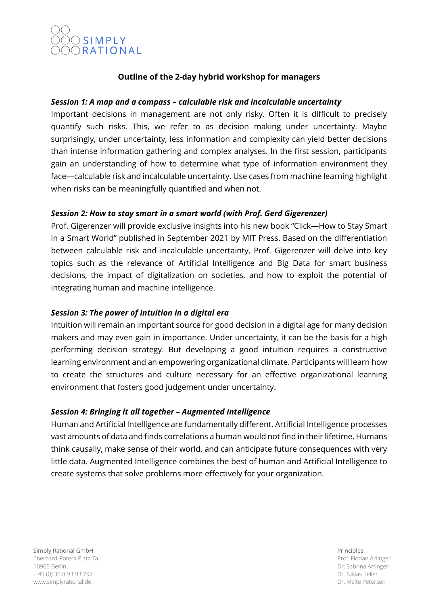

### **Outline of the 2-day hybrid workshop for managers**

#### *Session 1: A map and a compass – calculable risk and incalculable uncertainty*

Important decisions in management are not only risky. Often it is difficult to precisely quantify such risks. This, we refer to as decision making under uncertainty. Maybe surprisingly, under uncertainty, less information and complexity can yield better decisions than intense information gathering and complex analyses. In the first session, participants gain an understanding of how to determine what type of information environment they face—calculable risk and incalculable uncertainty. Use cases from machine learning highlight when risks can be meaningfully quantified and when not.

#### *Session 2: How to stay smart in a smart world (with Prof. Gerd Gigerenzer)*

Prof. Gigerenzer will provide exclusive insights into his new book "Click—How to Stay Smart in a Smart World" published in September 2021 by MIT Press. Based on the differentiation between calculable risk and incalculable uncertainty, Prof. Gigerenzer will delve into key topics such as the relevance of Artificial Intelligence and Big Data for smart business decisions, the impact of digitalization on societies, and how to exploit the potential of integrating human and machine intelligence.

#### *Session 3: The power of intuition in a digital era*

Intuition will remain an important source for good decision in a digital age for many decision makers and may even gain in importance. Under uncertainty, it can be the basis for a high performing decision strategy. But developing a good intuition requires a constructive learning environment and an empowering organizational climate. Participants will learn how to create the structures and culture necessary for an effective organizational learning environment that fosters good judgement under uncertainty.

#### *Session 4: Bringing it all together – Augmented Intelligence*

Human and Artificial Intelligence are fundamentally different. Artificial Intelligence processes vast amounts of data and finds correlations a human would not find in their lifetime. Humans think causally, make sense of their world, and can anticipate future consequences with very little data. Augmented Intelligence combines the best of human and Artificial Intelligence to create systems that solve problems more effectively for your organization.

Simply Rational GmbH Eberhard-Roters-Platz 7a 10965 Berlin + 49 (0) 30 8 93 93 797 www.simplyrational.de

Principles: Prof. Florian Artinger Dr. Sabrina Artinger Dr. Niklas Keller Dr. Malte Petersen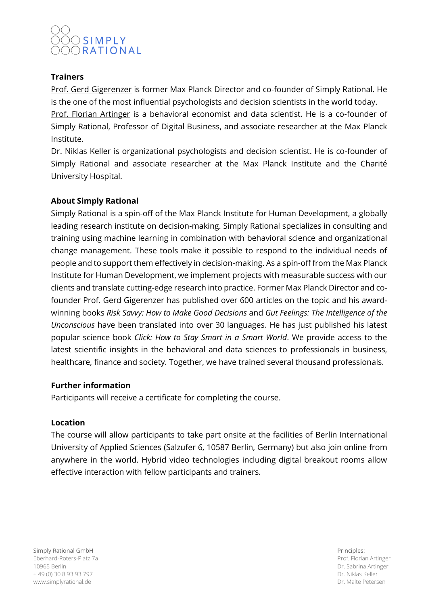## SIMPLY ORATIONAL

## **Trainers**

Prof. Gerd Gigerenzer is former Max Planck Director and co-founder of Simply Rational. He is the one of the most influential psychologists and decision scientists in the world today.

Prof. Florian Artinger is a behavioral economist and data scientist. He is a co-founder of Simply Rational, Professor of Digital Business, and associate researcher at the Max Planck Institute.

Dr. Niklas Keller is organizational psychologists and decision scientist. He is co-founder of Simply Rational and associate researcher at the Max Planck Institute and the Charité University Hospital.

## **About Simply Rational**

Simply Rational is a spin-off of the Max Planck Institute for Human Development, a globally leading research institute on decision-making. Simply Rational specializes in consulting and training using machine learning in combination with behavioral science and organizational change management. These tools make it possible to respond to the individual needs of people and to support them effectively in decision-making. As a spin-off from the Max Planck Institute for Human Development, we implement projects with measurable success with our clients and translate cutting-edge research into practice. Former Max Planck Director and cofounder Prof. Gerd Gigerenzer has published over 600 articles on the topic and his awardwinning books *Risk Savvy: How to Make Good Decisions* and *Gut Feelings: The Intelligence of the Unconscious* have been translated into over 30 languages. He has just published his latest popular science book *Click: How to Stay Smart in a Smart World*. We provide access to the latest scientific insights in the behavioral and data sciences to professionals in business, healthcare, finance and society. Together, we have trained several thousand professionals.

#### **Further information**

Participants will receive a certificate for completing the course.

#### **Location**

The course will allow participants to take part onsite at the facilities of Berlin International University of Applied Sciences (Salzufer 6, 10587 Berlin, Germany) but also join online from anywhere in the world. Hybrid video technologies including digital breakout rooms allow effective interaction with fellow participants and trainers.

Simply Rational GmbH Eberhard-Roters-Platz 7a 10965 Berlin + 49 (0) 30 8 93 93 797 www.simplyrational.de

Principles: Prof. Florian Artinger Dr. Sabrina Artinger Dr. Niklas Keller Dr. Malte Petersen